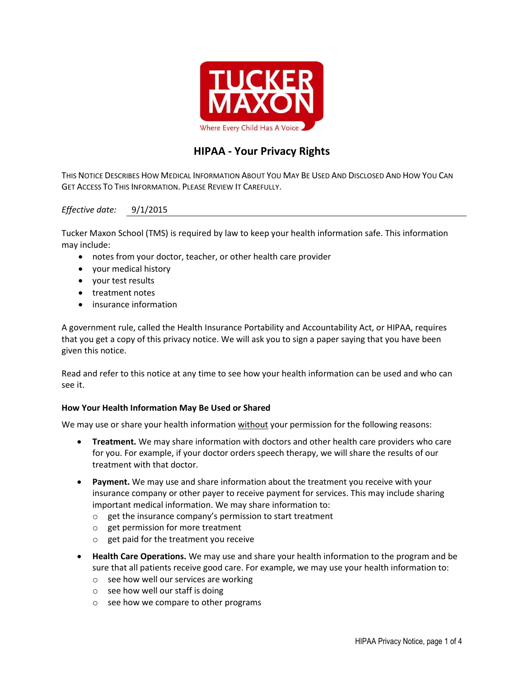

# **HIPAA - Your Privacy Rights**

THIS NOTICE DESCRIBES HOW MEDICAL INFORMATION ABOUT YOU MAY BE USED AND DISCLOSED AND HOW YOU CAN GET ACCESS TO THIS INFORMATION. PLEASE REVIEW IT CAREFULLY.

## *Effective date:* 9/1/2015

Tucker Maxon School (TMS) is required by law to keep your health information safe. This information may include:

- notes from your doctor, teacher, or other health care provider
- your medical history
- your test results
- treatment notes
- insurance information

A government rule, called the Health Insurance Portability and Accountability Act, or HIPAA, requires that you get a copy of this privacy notice. We will ask you to sign a paper saying that you have been given this notice.

Read and refer to this notice at any time to see how your health information can be used and who can see it.

## **How Your Health Information May Be Used or Shared**

We may use or share your health information without your permission for the following reasons:

- **Treatment.** We may share information with doctors and other health care providers who care for you. For example, if your doctor orders speech therapy, we will share the results of our treatment with that doctor.
- **Payment.** We may use and share information about the treatment you receive with your insurance company or other payer to receive payment for services. This may include sharing important medical information. We may share information to:
	- o get the insurance company's permission to start treatment
	- o get permission for more treatment
	- o get paid for the treatment you receive
- **Health Care Operations.** We may use and share your health information to the program and be sure that all patients receive good care. For example, we may use your health information to:
	- o see how well our services are working
	- $\circ$  see how well our staff is doing
	- o see how we compare to other programs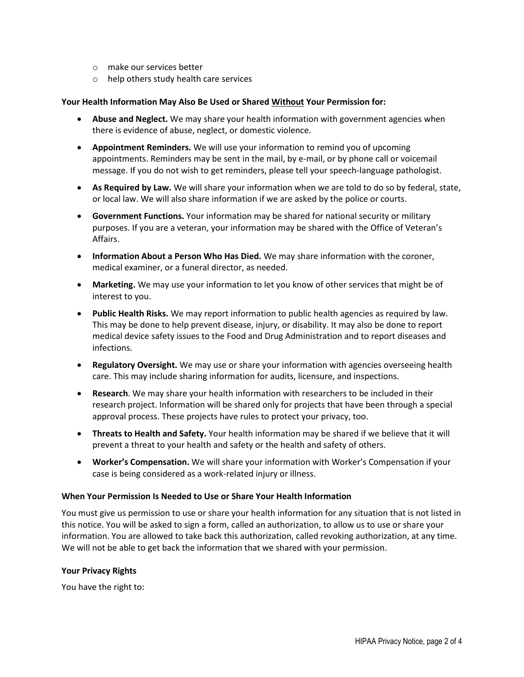- o make our services better
- o help others study health care services

#### **Your Health Information May Also Be Used or Shared Without Your Permission for:**

- **Abuse and Neglect.** We may share your health information with government agencies when there is evidence of abuse, neglect, or domestic violence.
- **Appointment Reminders.** We will use your information to remind you of upcoming appointments. Reminders may be sent in the mail, by e-mail, or by phone call or voicemail message. If you do not wish to get reminders, please tell your speech-language pathologist.
- **As Required by Law.** We will share your information when we are told to do so by federal, state, or local law. We will also share information if we are asked by the police or courts.
- **Government Functions.** Your information may be shared for national security or military purposes. If you are a veteran, your information may be shared with the Office of Veteran's Affairs.
- **Information About a Person Who Has Died.** We may share information with the coroner, medical examiner, or a funeral director, as needed.
- **Marketing.** We may use your information to let you know of other services that might be of interest to you.
- **Public Health Risks.** We may report information to public health agencies as required by law. This may be done to help prevent disease, injury, or disability. It may also be done to report medical device safety issues to the Food and Drug Administration and to report diseases and infections.
- **Regulatory Oversight.** We may use or share your information with agencies overseeing health care. This may include sharing information for audits, licensure, and inspections.
- **Research**. We may share your health information with researchers to be included in their research project. Information will be shared only for projects that have been through a special approval process. These projects have rules to protect your privacy, too.
- **Threats to Health and Safety.** Your health information may be shared if we believe that it will prevent a threat to your health and safety or the health and safety of others.
- **Worker's Compensation.** We will share your information with Worker's Compensation if your case is being considered as a work-related injury or illness.

#### **When Your Permission Is Needed to Use or Share Your Health Information**

You must give us permission to use or share your health information for any situation that is not listed in this notice. You will be asked to sign a form, called an authorization, to allow us to use or share your information. You are allowed to take back this authorization, called revoking authorization, at any time. We will not be able to get back the information that we shared with your permission.

#### **Your Privacy Rights**

You have the right to: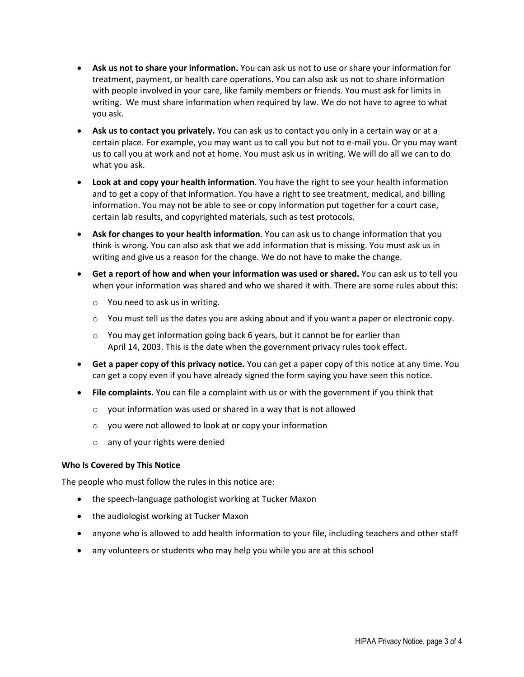- **Ask us not to share your information.** You can ask us not to use or share your information for treatment, payment, or health care operations. You can also ask us not to share information with people involved in your care, like family members or friends. You must ask for limits in writing. We must share information when required by law. We do not have to agree to what you ask.
- **Ask us to contact you privately.** You can ask us to contact you only in a certain way or at a certain place. For example, you may want us to call you but not to e-mail you. Or you may want us to call you at work and not at home. You must ask us in writing. We will do all we can to do what you ask.
- **Look at and copy your health information**. You have the right to see your health information and to get a copy of that information. You have a right to see treatment, medical, and billing information. You may not be able to see or copy information put together for a court case, certain lab results, and copyrighted materials, such as test protocols.
- **Ask for changes to your health information**. You can ask us to change information that you think is wrong. You can also ask that we add information that is missing. You must ask us in writing and give us a reason for the change. We do not have to make the change.
- **Get a report of how and when your information was used or shared.** You can ask us to tell you when your information was shared and who we shared it with. There are some rules about this:
	- o You need to ask us in writing.
	- o You must tell us the dates you are asking about and if you want a paper or electronic copy.
	- $\circ$  You may get information going back 6 years, but it cannot be for earlier than April 14, 2003. This is the date when the government privacy rules took effect.
- **Get a paper copy of this privacy notice.** You can get a paper copy of this notice at any time. You can get a copy even if you have already signed the form saying you have seen this notice.
- **File complaints.** You can file a complaint with us or with the government if you think that
	- o your information was used or shared in a way that is not allowed
	- o you were not allowed to look at or copy your information
	- o any of your rights were denied

## **Who Is Covered by This Notice**

The people who must follow the rules in this notice are:

- the speech-language pathologist working at Tucker Maxon
- the audiologist working at Tucker Maxon
- anyone who is allowed to add health information to your file, including teachers and other staff
- any volunteers or students who may help you while you are at this school